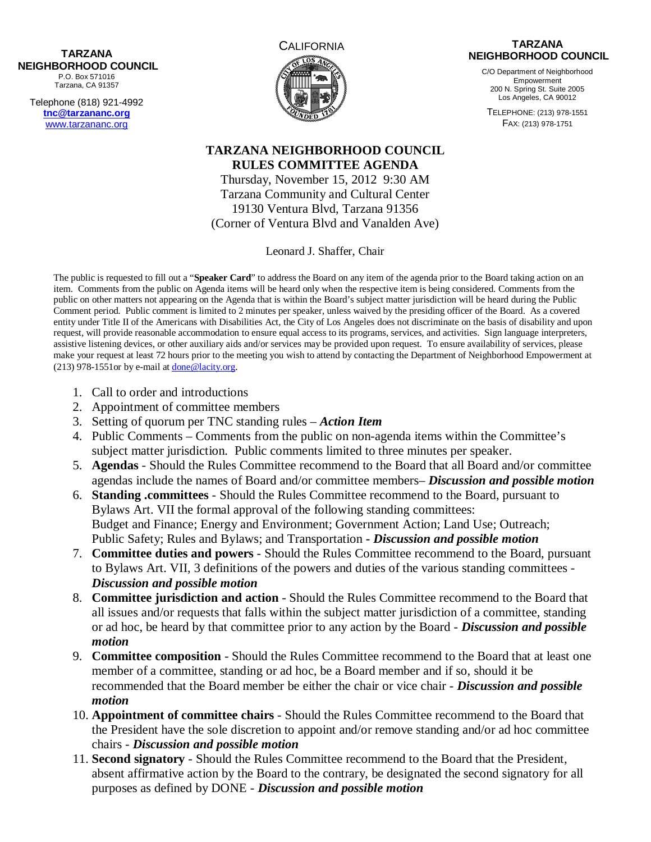## **NEIGHBORHOOD COUNCIL**  P.O. Box 571016 Tarzana, CA 91357

Telephone (818) 921-4992 **tnc@tarzananc.org** www.tarzananc.org



## **TARZANA NEIGHBORHOOD COUNCIL**

C/O Department of Neighborhood **Empowerment** 200 N. Spring St. Suite 2005 Los Angeles, CA 90012

TELEPHONE: (213) 978-1551 FAX: (213) 978-1751

## **TARZANA NEIGHBORHOOD COUNCIL RULES COMMITTEE AGENDA**

Thursday, November 15, 2012 9:30 AM Tarzana Community and Cultural Center 19130 Ventura Blvd, Tarzana 91356 (Corner of Ventura Blvd and Vanalden Ave)

Leonard J. Shaffer, Chair

The public is requested to fill out a "**Speaker Card**" to address the Board on any item of the agenda prior to the Board taking action on an item. Comments from the public on Agenda items will be heard only when the respective item is being considered. Comments from the public on other matters not appearing on the Agenda that is within the Board's subject matter jurisdiction will be heard during the Public Comment period. Public comment is limited to 2 minutes per speaker, unless waived by the presiding officer of the Board. As a covered entity under Title II of the Americans with Disabilities Act, the City of Los Angeles does not discriminate on the basis of disability and upon request, will provide reasonable accommodation to ensure equal access to its programs, services, and activities. Sign language interpreters, assistive listening devices, or other auxiliary aids and/or services may be provided upon request. To ensure availability of services, please make your request at least 72 hours prior to the meeting you wish to attend by contacting the Department of Neighborhood Empowerment at (213) 978-1551or by e-mail at done@lacity.org.

- 1. Call to order and introductions
- 2. Appointment of committee members
- 3. Setting of quorum per TNC standing rules *Action Item*
- 4. Public Comments Comments from the public on non-agenda items within the Committee's subject matter jurisdiction. Public comments limited to three minutes per speaker.
- 5. **Agendas** Should the Rules Committee recommend to the Board that all Board and/or committee agendas include the names of Board and/or committee members– *Discussion and possible motion*
- 6. **Standing .committees** Should the Rules Committee recommend to the Board, pursuant to Bylaws Art. VII the formal approval of the following standing committees: Budget and Finance; Energy and Environment; Government Action; Land Use; Outreach; Public Safety; Rules and Bylaws; and Transportation **-** *Discussion and possible motion*
- 7. **Committee duties and powers** Should the Rules Committee recommend to the Board, pursuant to Bylaws Art. VII, 3 definitions of the powers and duties of the various standing committees - *Discussion and possible motion*
- 8. **Committee jurisdiction and action** Should the Rules Committee recommend to the Board that all issues and/or requests that falls within the subject matter jurisdiction of a committee, standing or ad hoc, be heard by that committee prior to any action by the Board - *Discussion and possible motion*
- 9. **Committee composition** Should the Rules Committee recommend to the Board that at least one member of a committee, standing or ad hoc, be a Board member and if so, should it be recommended that the Board member be either the chair or vice chair - *Discussion and possible motion*
- 10. **Appointment of committee chairs** Should the Rules Committee recommend to the Board that the President have the sole discretion to appoint and/or remove standing and/or ad hoc committee chairs - *Discussion and possible motion*
- 11. **Second signatory** Should the Rules Committee recommend to the Board that the President, absent affirmative action by the Board to the contrary, be designated the second signatory for all purposes as defined by DONE - *Discussion and possible motion*